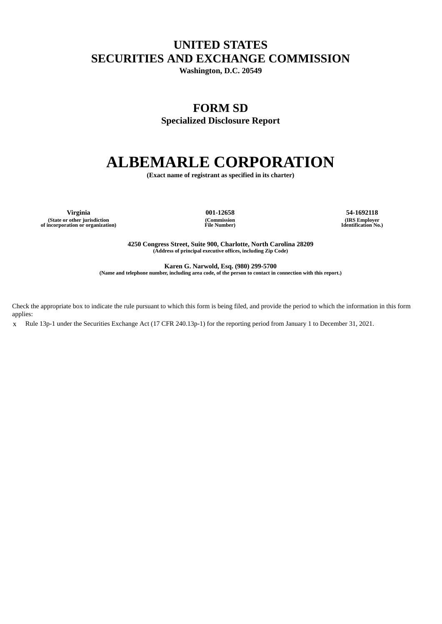## **UNITED STATES SECURITIES AND EXCHANGE COMMISSION**

**Washington, D.C. 20549**

# **FORM SD**

**Specialized Disclosure Report**

# **ALBEMARLE CORPORATION**

**(Exact name of registrant as specified in its charter)**

**Virginia 001-12658 54-1692118 (State or other jurisdiction of incorporation or organization)**

**(Commission File Number)**

**(IRS Employer Identification No.)**

**4250 Congress Street, Suite 900, Charlotte, North Carolina 28209 (Address of principal executive offices, including Zip Code)**

**Karen G. Narwold, Esq. (980) 299-5700** (Name and telephone number, including area code, of the person to contact in connection with this report.)

Check the appropriate box to indicate the rule pursuant to which this form is being filed, and provide the period to which the information in this form applies:

x Rule 13p-1 under the Securities Exchange Act (17 CFR 240.13p-1) for the reporting period from January 1 to December 31, 2021.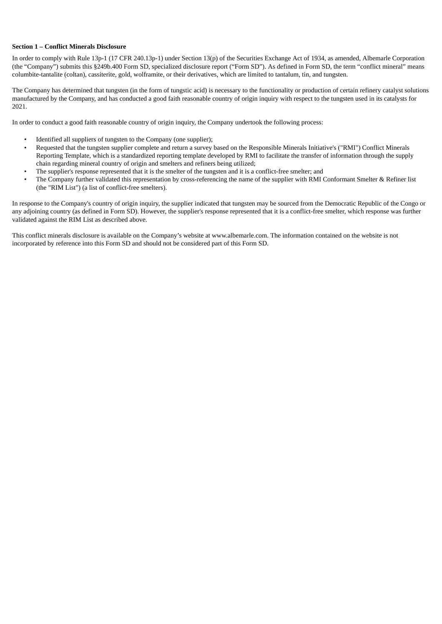#### **Section 1 – Conflict Minerals Disclosure**

In order to comply with Rule 13p-1 (17 CFR 240.13p-1) under Section 13(p) of the Securities Exchange Act of 1934, as amended, Albemarle Corporation (the "Company") submits this §249b.400 Form SD, specialized disclosure report ("Form SD"). As defined in Form SD, the term "conflict mineral" means columbite-tantalite (coltan), cassiterite, gold, wolframite, or their derivatives, which are limited to tantalum, tin, and tungsten.

The Company has determined that tungsten (in the form of tungstic acid) is necessary to the functionality or production of certain refinery catalyst solutions manufactured by the Company, and has conducted a good faith reasonable country of origin inquiry with respect to the tungsten used in its catalysts for 2021.

In order to conduct a good faith reasonable country of origin inquiry, the Company undertook the following process:

- Identified all suppliers of tungsten to the Company (one supplier);
- Requested that the tungsten supplier complete and return a survey based on the Responsible Minerals Initiative's ("RMI") Conflict Minerals Reporting Template, which is a standardized reporting template developed by RMI to facilitate the transfer of information through the supply chain regarding mineral country of origin and smelters and refiners being utilized;
- The supplier's response represented that it is the smelter of the tungsten and it is a conflict-free smelter; and
- The Company further validated this representation by cross-referencing the name of the supplier with RMI Conformant Smelter & Refiner list (the "RIM List") (a list of conflict-free smelters).

In response to the Company's country of origin inquiry, the supplier indicated that tungsten may be sourced from the Democratic Republic of the Congo or any adjoining country (as defined in Form SD). However, the supplier's response represented that it is a conflict-free smelter, which response was further validated against the RIM List as described above.

This conflict minerals disclosure is available on the Company's website at www.albemarle.com. The information contained on the website is not incorporated by reference into this Form SD and should not be considered part of this Form SD.